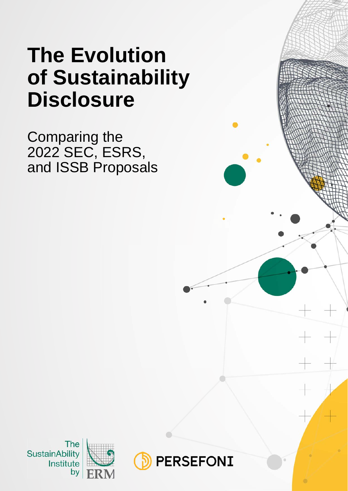# **The Evolution of Sustainability Disclosure**

Comparing the 2022 SEC, ESRS, and ISSB Proposals



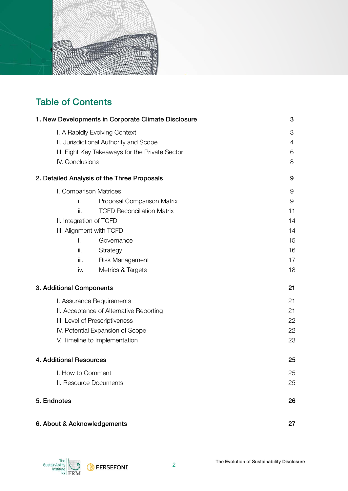

### Table of Contents

| 1. New Developments in Corporate Climate Disclosure | 3  |
|-----------------------------------------------------|----|
| I. A Rapidly Evolving Context                       | 3  |
| II. Jurisdictional Authority and Scope              | 4  |
| III. Eight Key Takeaways for the Private Sector     | 6  |
| IV. Conclusions                                     | 8  |
| 2. Detailed Analysis of the Three Proposals         | 9  |
| I. Comparison Matrices                              | 9  |
| i.<br>Proposal Comparison Matrix                    | 9  |
| <b>TCFD Reconciliation Matrix</b><br>ii.            | 11 |
| II. Integration of TCFD                             | 14 |
| III. Alignment with TCFD                            | 14 |
| Governance<br>i.                                    | 15 |
| ii.<br>Strategy                                     | 16 |
| <b>Risk Management</b><br>iii.                      | 17 |
| Metrics & Targets<br>iv.                            | 18 |
| 3. Additional Components                            | 21 |
| I. Assurance Requirements                           | 21 |
| II. Acceptance of Alternative Reporting             | 21 |
| III. Level of Prescriptiveness                      | 22 |
| IV. Potential Expansion of Scope                    | 22 |
| V. Timeline to Implementation                       | 23 |
| 4. Additional Resources                             | 25 |
| I. How to Comment                                   | 25 |
| II. Resource Documents                              | 25 |
| 5. Endnotes                                         | 26 |
| 6. About & Acknowledgements                         | 27 |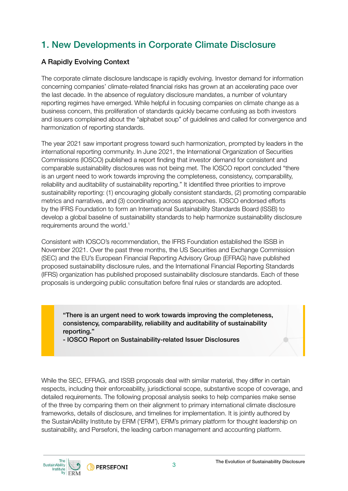### 1. New Developments in Corporate Climate Disclosure

#### A Rapidly Evolving Context

The corporate climate disclosure landscape is rapidly evolving. Investor demand for information concerning companies' climate-related financial risks has grown at an accelerating pace over the last decade. In the absence of regulatory disclosure mandates, a number of voluntary reporting regimes have emerged. While helpful in focusing companies on climate change as a business concern, this proliferation of standards quickly became confusing as both investors and issuers complained about the "alphabet soup" of guidelines and called for convergence and harmonization of reporting standards.

The year 2021 saw important progress toward such harmonization, prompted by leaders in the international reporting community. In June 2021, the International Organization of Securities Commissions (IOSCO) published a report finding that investor demand for consistent and comparable sustainability disclosures was not being met. The IOSCO report concluded "there is an urgent need to work towards improving the completeness, consistency, comparability, reliability and auditability of sustainability reporting." It identified three priorities to improve sustainability reporting: (1) encouraging globally consistent standards, (2) promoting comparable metrics and narratives, and (3) coordinating across approaches. IOSCO endorsed efforts by the IFRS Foundation to form an International Sustainability Standards Board (ISSB) to develop a global baseline of sustainability standards to help harmonize sustainability disclosure requirements around the world.<sup>1</sup>

Consistent with IOSCO's recommendation, the IFRS Foundation established the ISSB in November 2021. Over the past three months, the US Securities and Exchange Commission (SEC) and the EU's European Financial Reporting Advisory Group (EFRAG) have published proposed sustainability disclosure rules, and the International Financial Reporting Standards (IFRS) organization has published proposed sustainability disclosure standards. Each of these proposals is undergoing public consultation before final rules or standards are adopted.

"There is an urgent need to work towards improving the completeness, consistency, comparability, reliability and auditability of sustainability reporting."

- IOSCO Report on Sustainability-related Issuer Disclosures

While the SEC, EFRAG, and ISSB proposals deal with similar material, they differ in certain respects, including their enforceability, jurisdictional scope, substantive scope of coverage, and detailed requirements. The following proposal analysis seeks to help companies make sense of the three by comparing them on their alignment to primary international climate disclosure frameworks, details of disclosure, and timelines for implementation. It is jointly authored by the SustainAbility Institute by ERM ('ERM'), ERM's primary platform for thought leadership on sustainability, and Persefoni, the leading carbon management and accounting platform.

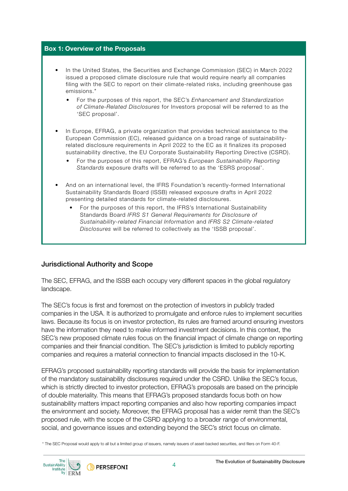#### Box 1: Overview of the Proposals

- In the United States, the Securities and Exchange Commission (SEC) in March 2022 issued a proposed climate disclosure rule that would require nearly all companies filing with the SEC to report on their climate-related risks, including greenhouse gas emissions.\*
	- For the purposes of this report, the SEC's *Enhancement and Standardization of Climate-Related Disclosures* for Investors proposal will be referred to as the 'SEC proposal'.
- In Europe, EFRAG, a private organization that provides technical assistance to the European Commission (EC), released guidance on a broad range of sustainabilityrelated disclosure requirements in April 2022 to the EC as it finalizes its proposed sustainability directive, the EU Corporate Sustainability Reporting Directive (CSRD).
	- For the purposes of this report, EFRAG's *European Sustainability Reporting Standards* exposure drafts will be referred to as the 'ESRS proposal'.
- And on an international level, the IFRS Foundation's recently-formed International Sustainability Standards Board (ISSB) released exposure drafts in April 2022 presenting detailed standards for climate-related disclosures.
	- For the purposes of this report, the IFRS's International Sustainability Standards Board *IFRS S1 General Requirements for Disclosure of Sustainability-related Financial Information* and *IFRS S2 Climate-related Disclosures* will be referred to collectively as the 'ISSB proposal'.

#### Jurisdictional Authority and Scope

The SEC, EFRAG, and the ISSB each occupy very different spaces in the global regulatory landscape.

The SEC's focus is first and foremost on the protection of investors in publicly traded companies in the USA. It is authorized to promulgate and enforce rules to implement securities laws. Because its focus is on investor protection, its rules are framed around ensuring investors have the information they need to make informed investment decisions. In this context, the SEC's new proposed climate rules focus on the financial impact of climate change on reporting companies and their financial condition. The SEC's jurisdiction is limited to publicly reporting companies and requires a material connection to financial impacts disclosed in the 10-K.

EFRAG's proposed sustainability reporting standards will provide the basis for implementation of the mandatory sustainability disclosures required under the CSRD. Unlike the SEC's focus, which is strictly directed to investor protection, EFRAG's proposals are based on the principle of double materiality. This means that EFRAG's proposed standards focus both on how sustainability matters impact reporting companies and also how reporting companies impact the environment and society. Moreover, the EFRAG proposal has a wider remit than the SEC's proposed rule, with the scope of the CSRD applying to a broader range of environmental, social, and governance issues and extending beyond the SEC's strict focus on climate.



<sup>\*</sup> The SEC Proposal would apply to all but a limited group of issuers, namely issuers of asset-backed securities, and lers on Form 40-F.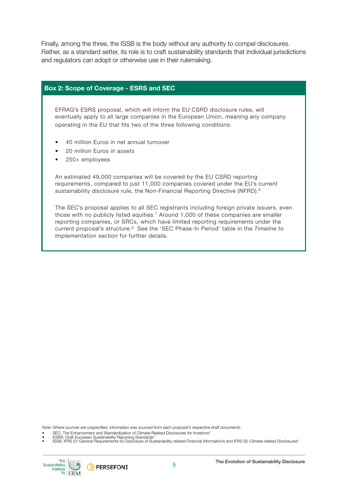Finally, among the three, the ISSB is the body without any authority to compel disclosures. Rather, as a standard setter, its role is to craft sustainability standards that individual jurisdictions and regulators can adopt or otherwise use in their rulemaking.

#### Box 2: Scope of Coverage - ESRS and SEC

EFRAG's ESRS proposal, which will inform the EU CSRD disclosure rules, will eventually apply to all large companies in the European Union, meaning any company operating in the EU that fits two of the three following conditions:

- 40 million Euros in net annual turnover
- 20 million Euros in assets
- 250+ employees

An estimated 49,000 companies will be covered by the EU CSRD reporting requirements, compared to just 11,000 companies covered under the EU's current sustainability disclosure rule, the Non-Financial Reporting Directive (NFRD).<sup>6</sup>

The SEC's proposal applies to all SEC registrants including foreign private issuers, even those with no publicly listed equities.7 Around 1,000 of these companies are smaller reporting companies, or SRCs, which have limited reporting requirements under the current proposal's structure.8 See the 'SEC Phase-In Period' table in the *Timeline to Implementation section* for further details.

*Note: Where sources are unspecified, information was sourced from each proposal's respective draft documents.* 

- SEC: The Enhancement and Standardization of Climate-Related Disclosures for Investors<sup>2</sup>
- **ESRS: Draft European Sustainability Reporting Standards**

• ISSB: IFRS S1 General Requirements for Disclosure of Sustainability-related Financial Information4 and IFRS S2 Climate-related Disclosures5



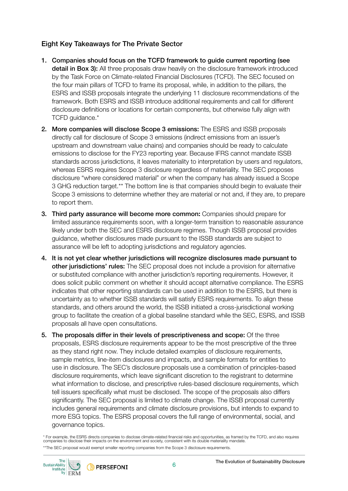#### Eight Key Takeaways for The Private Sector

- 1. Companies should focus on the TCFD framework to guide current reporting (see detail in Box 3): All three proposals draw heavily on the disclosure framework introduced by the Task Force on Climate-related Financial Disclosures (TCFD). The SEC focused on the four main pillars of TCFD to frame its proposal, while, in addition to the pillars, the ESRS and ISSB proposals integrate the underlying 11 disclosure recommendations of the framework. Both ESRS and ISSB introduce additional requirements and call for different disclosure definitions or locations for certain components, but otherwise fully align with TCFD guidance.\*
- 2. More companies will disclose Scope 3 emissions: The ESRS and ISSB proposals directly call for disclosure of Scope 3 emissions (indirect emissions from an issuer's upstream and downstream value chains) and companies should be ready to calculate emissions to disclose for the FY23 reporting year. Because IFRS cannot mandate ISSB standards across jurisdictions, it leaves materiality to interpretation by users and regulators, whereas ESRS requires Scope 3 disclosure regardless of materiality. The SEC proposes disclosure "where considered material" or when the company has already issued a Scope 3 GHG reduction target.\*\* The bottom line is that companies should begin to evaluate their Scope 3 emissions to determine whether they are material or not and, if they are, to prepare to report them.
- 3. Third party assurance will become more common: Companies should prepare for limited assurance requirements soon, with a longer-term transition to reasonable assurance likely under both the SEC and ESRS disclosure regimes. Though ISSB proposal provides guidance, whether disclosures made pursuant to the ISSB standards are subject to assurance will be left to adopting jurisdictions and regulatory agencies.
- 4. It is not yet clear whether jurisdictions will recognize disclosures made pursuant to other jurisdictions' rules: The SEC proposal does not include a provision for alternative or substituted compliance with another jurisdiction's reporting requirements. However, it does solicit public comment on whether it should accept alternative compliance. The ESRS indicates that other reporting standards can be used in addition to the ESRS, but there is uncertainty as to whether ISSB standards will satisfy ESRS requirements. To align these standards, and others around the world, the ISSB initiated a cross-jurisdictional working group to facilitate the creation of a global baseline standard while the SEC, ESRS, and ISSB proposals all have open consultations.
- 5. The proposals differ in their levels of prescriptiveness and scope: Of the three proposals, ESRS disclosure requirements appear to be the most prescriptive of the three as they stand right now. They include detailed examples of disclosure requirements, sample metrics, line-item disclosures and impacts, and sample formats for entities to use in disclosure. The SEC's disclosure proposals use a combination of principles-based disclosure requirements, which leave significant discretion to the registrant to determine what information to disclose, and prescriptive rules-based disclosure requirements, which tell issuers specifically what must be disclosed. The scope of the proposals also differs significantly. The SEC proposal is limited to climate change. The ISSB proposal currently includes general requirements and climate disclosure provisions, but intends to expand to more ESG topics. The ESRS proposal covers the full range of environmental, social, and governance topics.

\* For example, the ESRS directs companies to disclose climate-related nancial risks and opportunities, as framed by the TCFD, and also requires companies to disclose their impacts on the environment and society, consistent with its double materiality mandate. \*\*The SEC proposal would exempt smaller reporting companies from the Scope 3 disclosure requirements.

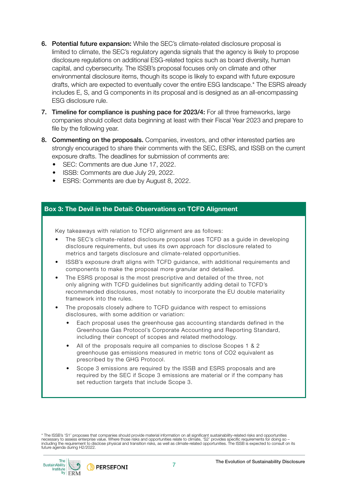- 6. Potential future expansion: While the SEC's climate-related disclosure proposal is limited to climate, the SEC's regulatory agenda signals that the agency is likely to propose disclosure regulations on additional ESG-related topics such as board diversity, human capital, and cybersecurity. The ISSB's proposal focuses only on climate and other environmental disclosure items, though its scope is likely to expand with future exposure drafts, which are expected to eventually cover the entire ESG landscape.\* The ESRS already includes E, S, and G components in its proposal and is designed as an all-encompassing ESG disclosure rule.
- 7. Timeline for compliance is pushing pace for 2023/4: For all three frameworks, large companies should collect data beginning at least with their Fiscal Year 2023 and prepare to file by the following year.
- 8. Commenting on the proposals. Companies, investors, and other interested parties are strongly encouraged to share their comments with the SEC, ESRS, and ISSB on the current exposure drafts. The deadlines for submission of comments are:
	- SEC: Comments are due June 17, 2022.
	- ISSB: Comments are due July 29, 2022.
	- ESRS: Comments are due by August 8, 2022.

#### Box 3: The Devil in the Detail: Observations on TCFD Alignment

Key takeaways with relation to TCFD alignment are as follows:

- The SEC's climate-related disclosure proposal uses TCFD as a guide in developing disclosure requirements, but uses its own approach for disclosure related to metrics and targets disclosure and climate-related opportunities.
- ISSB's exposure draft aligns with TCFD guidance, with additional requirements and components to make the proposal more granular and detailed.
- The ESRS proposal is the most prescriptive and detailed of the three, not only aligning with TCFD guidelines but significantly adding detail to TCFD's recommended disclosures, most notably to incorporate the EU double materiality framework into the rules.
- The proposals closely adhere to TCFD guidance with respect to emissions disclosures, with some addition or variation:
	- Each proposal uses the greenhouse gas accounting standards defined in the Greenhouse Gas Protocol's Corporate Accounting and Reporting Standard, including their concept of scopes and related methodology.
	- All of the proposals require all companies to disclose Scopes 1 & 2 greenhouse gas emissions measured in metric tons of CO2 equivalent as prescribed by the GHG Protocol.
	- Scope 3 emissions are required by the ISSB and ESRS proposals and are required by the SEC if Scope 3 emissions are material or if the company has set reduction targets that include Scope 3.

\* The ISSB's 'S1' proposes that companies should provide material information on all significant sustainability-related risks and opportunities necessary to assess enterprise value. Where those risks and opportunities relate to climate, 'S2' provides specific requirements for doing so –<br>including the requirement to disclose physical and transition risks, as well a future agenda during H2/2022.

The SustainAbility Institute by **FRM** 

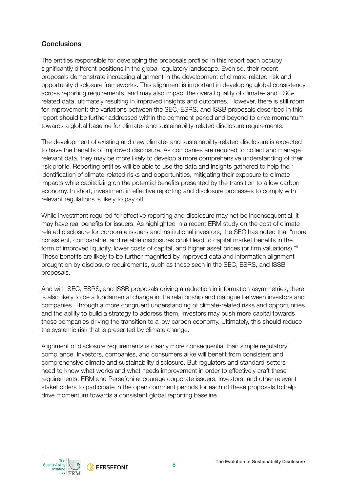#### **Conclusions**

The entities responsible for developing the proposals profiled in this report each occupy significantly different positions in the global regulatory landscape. Even so, their recent proposals demonstrate increasing alignment in the development of climate-related risk and opportunity disclosure frameworks. This alignment is important in developing global consistency across reporting requirements, and may also impact the overall quality of climate- and ESGrelated data, ultimately resulting in improved insights and outcomes. However, there is still room for improvement: the variations between the SEC, ESRS, and ISSB proposals described in this report should be further addressed within the comment period and beyond to drive momentum towards a global baseline for climate- and sustainability-related disclosure requirements.

The development of existing and new climate- and sustainability-related disclosure is expected to have the benefits of improved disclosure. As companies are required to collect and manage relevant data, they may be more likely to develop a more comprehensive understanding of their risk profile. Reporting entities will be able to use the data and insights gathered to help their identification of climate-related risks and opportunities, mitigating their exposure to climate impacts while capitalizing on the potential benefits presented by the transition to a low carbon economy. In short, investment in effective reporting and disclosure processes to comply with relevant regulations is likely to pay off.

While investment required for effective reporting and disclosure may not be inconsequential, it may have real benefits for issuers. As highlighted in a recent ERM study on the cost of climaterelated disclosure for corporate issuers and institutional investors, the SEC has noted that "more consistent, comparable, and reliable disclosures could lead to capital market benefits in the form of improved liquidity, lower costs of capital, and higher asset prices (or firm valuations)."<sup>9</sup> These benefits are likely to be further magnified by improved data and information alignment brought on by disclosure requirements, such as those seen in the SEC, ESRS, and ISSB proposals.

And with SEC, ESRS, and ISSB proposals driving a reduction in information asymmetries, there is also likely to be a fundamental change in the relationship and dialogue between investors and companies. Through a more congruent understanding of climate-related risks and opportunities and the ability to build a strategy to address them, investors may push more capital towards those companies driving the transition to a low carbon economy. Ultimately, this should reduce the systemic risk that is presented by climate change.

Alignment of disclosure requirements is clearly more consequential than simple regulatory compliance. Investors, companies, and consumers alike will benefit from consistent and comprehensive climate and sustainability disclosure. But regulators and standard-setters need to know what works and what needs improvement in order to effectively craft these requirements. ERM and Persefoni encourage corporate issuers, investors, and other relevant stakeholders to participate in the open comment periods for each of these proposals to help drive momentum towards a consistent global reporting baseline.

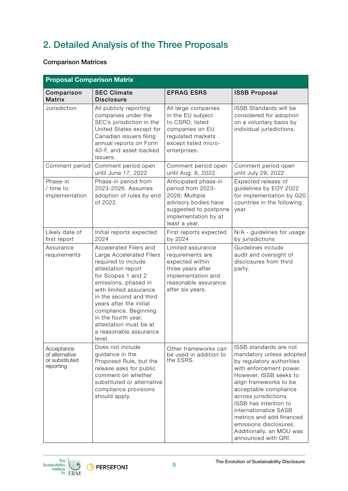## 2. Detailed Analysis of the Three Proposals

#### Comparison Matrices

| <b>Proposal Comparison Matrix</b>                           |                                                                                                                                                                                                                                                                                                                                             |                                                                                                                                                       |                                                                                                                                                                                                                                                                                                                                                                             |
|-------------------------------------------------------------|---------------------------------------------------------------------------------------------------------------------------------------------------------------------------------------------------------------------------------------------------------------------------------------------------------------------------------------------|-------------------------------------------------------------------------------------------------------------------------------------------------------|-----------------------------------------------------------------------------------------------------------------------------------------------------------------------------------------------------------------------------------------------------------------------------------------------------------------------------------------------------------------------------|
| Comparison<br><b>Matrix</b>                                 | <b>SEC Climate</b><br><b>Disclosure</b>                                                                                                                                                                                                                                                                                                     | <b>EFRAG ESRS</b>                                                                                                                                     | <b>ISSB Proposal</b>                                                                                                                                                                                                                                                                                                                                                        |
| Jurisdiction                                                | All publicly reporting<br>companies under the<br>SEC's jurisdiction in the<br>United States except for<br>Canadian issuers filing<br>annual reports on Form<br>40-F, and asset-backed<br>issuers.                                                                                                                                           | All large companies<br>in the EU subject<br>to CSRD; listed<br>companies on EU<br>regulated markets<br>except listed micro-<br>enterprises.           | <b>ISSB Standards will be</b><br>considered for adoption<br>on a voluntary basis by<br>individual jurisdictions.                                                                                                                                                                                                                                                            |
| Comment period                                              | Comment period open<br>until June 17, 2022                                                                                                                                                                                                                                                                                                  | Comment period open<br>until Aug. 8, 2022                                                                                                             | Comment period open<br>until July 29, 2022                                                                                                                                                                                                                                                                                                                                  |
| Phase-in<br>/ time to<br>implementation                     | Phase-in period from<br>2023-2026. Assumes<br>adoption of rules by end<br>of 2022.                                                                                                                                                                                                                                                          | Anticipated phase-in<br>period from 2023-<br>2026; Multiple<br>advisory bodies have<br>suggested to postpone<br>implementation by at<br>least a year. | Expected release of<br>guidelines by EOY 2022<br>for implementation by G20<br>countries in the following<br>year.                                                                                                                                                                                                                                                           |
| Likely date of<br>first report                              | Initial reports expected<br>2024                                                                                                                                                                                                                                                                                                            | First reports expected<br>by 2024                                                                                                                     | N/A - guidelines for usage<br>by jurisdictions                                                                                                                                                                                                                                                                                                                              |
| Assurance<br>requirements                                   | Accelerated Filers and<br>Large Accelerated Filers<br>required to include<br>attestation report<br>for Scopes 1 and 2<br>emissions, phased in<br>with limited assurance<br>in the second and third<br>years after the initial<br>compliance. Beginning<br>in the fourth year,<br>attestation must be at<br>a reasonable assurance<br>level. | Limited assurance<br>requirements are<br>expected within<br>three years after<br>implementation and<br>reasonable assurance<br>after six years.       | Guidelines include<br>audit and oversight of<br>disclosures from third<br>party.                                                                                                                                                                                                                                                                                            |
| Acceptance<br>of alternative<br>or substituted<br>reporting | Does not include<br>guidance in the<br>Proposed Rule, but the<br>release asks for public<br>comment on whether<br>substituted or alternative<br>compliance provisions<br>should apply.                                                                                                                                                      | Other frameworks can<br>be used in addition to<br>the ESRS.                                                                                           | ISSB standards are not<br>mandatory unless adopted<br>by regulatory authorities<br>with enforcement power.<br>However, ISSB seeks to<br>align frameworks to be<br>acceptable compliance<br>across jurisdictions.<br>ISSB has intention to<br>internationalize SASB<br>metrics and add financed<br>emissions disclosures.<br>Additionally, an MOU was<br>announced with GRI. |

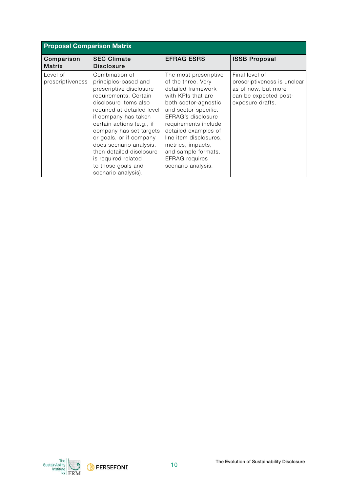| <b>Proposal Comparison Matrix</b> |                                                                                                                                                                                                                                                                                                                                                                                         |                                                                                                                                                                                                                                                                                                                                    |                                                                                                                   |
|-----------------------------------|-----------------------------------------------------------------------------------------------------------------------------------------------------------------------------------------------------------------------------------------------------------------------------------------------------------------------------------------------------------------------------------------|------------------------------------------------------------------------------------------------------------------------------------------------------------------------------------------------------------------------------------------------------------------------------------------------------------------------------------|-------------------------------------------------------------------------------------------------------------------|
| Comparison<br><b>Matrix</b>       | <b>SEC Climate</b><br><b>Disclosure</b>                                                                                                                                                                                                                                                                                                                                                 | <b>EFRAG ESRS</b>                                                                                                                                                                                                                                                                                                                  | <b>ISSB Proposal</b>                                                                                              |
| Level of<br>prescriptiveness      | Combination of<br>principles-based and<br>prescriptive disclosure<br>requirements. Certain<br>disclosure items also<br>required at detailed level<br>if company has taken<br>certain actions (e.g., if<br>company has set targets<br>or goals, or if company<br>does scenario analysis,<br>then detailed disclosure<br>is required related<br>to those goals and<br>scenario analysis). | The most prescriptive<br>of the three. Very<br>detailed framework<br>with KPIs that are<br>both sector-agnostic<br>and sector-specific.<br>EFRAG's disclosure<br>requirements include<br>detailed examples of<br>line item disclosures,<br>metrics, impacts,<br>and sample formats.<br><b>EFRAG</b> requires<br>scenario analysis. | Final level of<br>prescriptiveness is unclear<br>as of now, but more<br>can be expected post-<br>exposure drafts. |

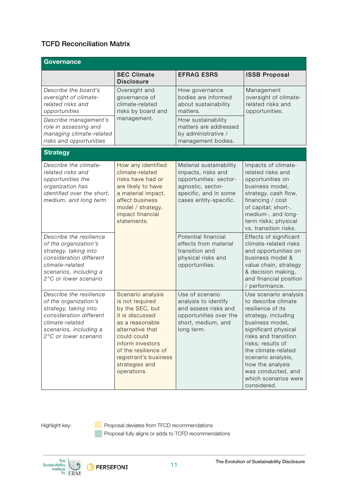#### TCFD Reconciliation Matrix

| Governance                                                                                                                                                                 |                                                                                                                                                                                                                                        |                                                                                                                                                 |                                                                                                                                                                                                                                                                                                                |
|----------------------------------------------------------------------------------------------------------------------------------------------------------------------------|----------------------------------------------------------------------------------------------------------------------------------------------------------------------------------------------------------------------------------------|-------------------------------------------------------------------------------------------------------------------------------------------------|----------------------------------------------------------------------------------------------------------------------------------------------------------------------------------------------------------------------------------------------------------------------------------------------------------------|
|                                                                                                                                                                            | <b>SEC Climate</b><br><b>Disclosure</b>                                                                                                                                                                                                | <b>EFRAG ESRS</b>                                                                                                                               | <b>ISSB Proposal</b>                                                                                                                                                                                                                                                                                           |
| Describe the board's<br>oversight of climate-<br>related risks and<br>opportunities                                                                                        | Oversight and<br>governance of<br>climate-related<br>risks by board and                                                                                                                                                                | How governance<br>bodies are informed<br>about sustainability<br>matters.                                                                       | Management<br>oversight of climate-<br>related risks and<br>opportunities.                                                                                                                                                                                                                                     |
| Describe management's<br>role in assessing and<br>managing climate-related<br>risks and opportunities                                                                      | management.                                                                                                                                                                                                                            | How sustainability<br>matters are addressed<br>by administrative /<br>management bodies.                                                        |                                                                                                                                                                                                                                                                                                                |
| <b>Strategy</b>                                                                                                                                                            |                                                                                                                                                                                                                                        |                                                                                                                                                 |                                                                                                                                                                                                                                                                                                                |
| Describe the climate-<br>related risks and<br>opportunities the<br>organization has<br>identified over the short,<br>medium, and long term                                 | How any identified<br>climate-related<br>risks have had or<br>are likely to have<br>a material impact,<br>affect business<br>model / strategy,<br>impact financial<br>statements.                                                      | Material sustainability<br>impacts, risks and<br>opportunities: sector-<br>agnostic, sector-<br>specific, and in some<br>cases entity-specific. | Impacts of climate-<br>related risks and<br>opportunities on<br>business model,<br>strategy, cash flow,<br>financing / cost<br>of capital; short-,<br>medium-, and long-<br>term risks; physical<br>vs. transition risks.                                                                                      |
| Describe the resilience<br>of the organization's<br>strategy, taking into<br>consideration different<br>climate-related<br>scenarios, including a<br>2°C or lower scenario |                                                                                                                                                                                                                                        | Potential financial<br>effects from material<br>transition and<br>physical risks and<br>opportunities.                                          | Effects of significant<br>climate-related risks<br>and opportunities on<br>business model &<br>value chain, strategy<br>& decision making,<br>and financial position<br>/ performance.                                                                                                                         |
| Describe the resilience<br>of the organization's<br>strategy, taking into<br>consideration different<br>climate-related<br>scenarios, including a<br>2°C or lower scenario | Scenario analysis<br>is not required<br>by the SEC, but<br>it is discussed<br>as a reasonable<br>alternative that<br>could could<br>inform investors<br>of the resilience of<br>registrant's business<br>strategies and<br>operations. | Use of scenario<br>analysis to identify<br>and assess risks and<br>opportunities over the<br>short, medium, and<br>long term.                   | Use scenario analysis<br>to describe climate<br>resilience of its<br>strategy, including<br>business model,<br>significant physical<br>risks and transition<br>risks; results of<br>the climate-related<br>scenario analysis,<br>how the analysis<br>was conducted, and<br>which scenarios were<br>considered. |

Highlight key: **Proposal deviates from TFCD recommendations** Proposal fully aligns or adds to TCFD recommendations

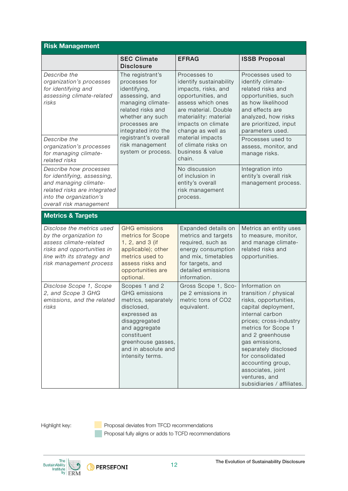| <b>Risk Management</b>                                                                                                                                               |                                                                                                                                                                                                                                            |                                                                                                                                                                                                       |                                                                                                                                                                                                                                                                                                                                        |
|----------------------------------------------------------------------------------------------------------------------------------------------------------------------|--------------------------------------------------------------------------------------------------------------------------------------------------------------------------------------------------------------------------------------------|-------------------------------------------------------------------------------------------------------------------------------------------------------------------------------------------------------|----------------------------------------------------------------------------------------------------------------------------------------------------------------------------------------------------------------------------------------------------------------------------------------------------------------------------------------|
|                                                                                                                                                                      | <b>SEC Climate</b><br><b>Disclosure</b>                                                                                                                                                                                                    | <b>EFRAG</b>                                                                                                                                                                                          | <b>ISSB Proposal</b>                                                                                                                                                                                                                                                                                                                   |
| Describe the<br>organization's processes<br>for identifying and<br>assessing climate-related<br>risks                                                                | The registrant's<br>processes for<br>identifying,<br>assessing, and<br>managing climate-<br>related risks and<br>whether any such<br>processes are<br>integrated into the<br>registrant's overall<br>risk management<br>system or process. | Processes to<br>identify sustainability<br>impacts, risks, and<br>opportunities, and<br>assess which ones<br>are material. Double<br>materiality: material<br>impacts on climate<br>change as well as | Processes used to<br>identify climate-<br>related risks and<br>opportunities, such<br>as how likelihood<br>and effects are<br>analyzed, how risks<br>are prioritized, input<br>parameters used.                                                                                                                                        |
| Describe the<br>organization's processes<br>for managing climate-<br>related risks                                                                                   |                                                                                                                                                                                                                                            | material impacts<br>of climate risks on<br>business & value<br>chain.                                                                                                                                 | Processes used to<br>assess, monitor, and<br>manage risks.                                                                                                                                                                                                                                                                             |
| Describe how processes<br>for identifying, assessing,<br>and managing climate-<br>related risks are integrated<br>into the organization's<br>overall risk management |                                                                                                                                                                                                                                            | No discussion<br>of inclusion in<br>entity's overall<br>risk management<br>process.                                                                                                                   | Integration into<br>entity's overall risk<br>management process.                                                                                                                                                                                                                                                                       |
| <b>Metrics &amp; Targets</b>                                                                                                                                         |                                                                                                                                                                                                                                            |                                                                                                                                                                                                       |                                                                                                                                                                                                                                                                                                                                        |
| Disclose the metrics used<br>by the organization to<br>assess climate-related<br>risks and opportunities in<br>line with its strategy and<br>risk management process | <b>GHG</b> emissions<br>metrics for Scope<br>1, 2, and 3 (if<br>applicable); other<br>metrics used to<br>assess risks and<br>opportunities are<br>optional.                                                                                | Expanded details on<br>metrics and targets<br>required, such as<br>energy consumption<br>and mix, timetables<br>for targets, and<br>detailed emissions<br>information.                                | Metrics an entity uses<br>to measure, monitor,<br>and manage climate-<br>related risks and<br>opportunities.                                                                                                                                                                                                                           |
| Disclose Scope 1, Scope<br>2, and Scope 3 GHG<br>emissions, and the related<br>risks                                                                                 | Scopes 1 and 2<br><b>GHG</b> emissions<br>metrics, separately<br>disclosed,<br>expressed as<br>disaggregated<br>and aggregate<br>constituent<br>greenhouse gasses,<br>and in absolute and<br>intensity terms.                              | Gross Scope 1, Sco-<br>pe 2 emissions in<br>metric tons of CO2<br>equivalent.                                                                                                                         | Information on<br>transition / physical<br>risks, opportunities,<br>capital deployment,<br>internal carbon<br>prices; cross-industry<br>metrics for Scope 1<br>and 2 greenhouse<br>gas emissions,<br>separately disclosed<br>for consolidated<br>accounting group,<br>associates, joint<br>ventures, and<br>subsidiaries / affiliates. |

Highlight key: **Proposal deviates from TFCD recommendations** Proposal fully aligns or adds to TCFD recommendations

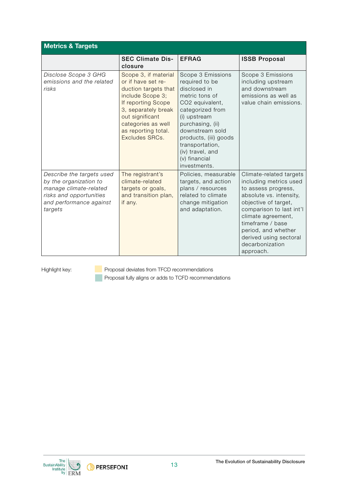| <b>Metrics &amp; Targets</b>                                                                                                                   |                                                                                                                                                                                                                       |                                                                                                                                                                                                                                                                      |                                                                                                                                                                                                                                                                                    |
|------------------------------------------------------------------------------------------------------------------------------------------------|-----------------------------------------------------------------------------------------------------------------------------------------------------------------------------------------------------------------------|----------------------------------------------------------------------------------------------------------------------------------------------------------------------------------------------------------------------------------------------------------------------|------------------------------------------------------------------------------------------------------------------------------------------------------------------------------------------------------------------------------------------------------------------------------------|
|                                                                                                                                                | <b>SEC Climate Dis-</b><br>closure                                                                                                                                                                                    | <b>EFRAG</b>                                                                                                                                                                                                                                                         | <b>ISSB Proposal</b>                                                                                                                                                                                                                                                               |
| Disclose Scope 3 GHG<br>emissions and the related<br>risks                                                                                     | Scope 3, if material<br>or if have set re-<br>duction targets that<br>include Scope 3;<br>If reporting Scope<br>3, separately break<br>out significant<br>categories as well<br>as reporting total.<br>Excludes SRCs. | Scope 3 Emissions<br>required to be<br>disclosed in<br>metric tons of<br>CO2 equivalent,<br>categorized from<br>(i) upstream<br>purchasing, (ii)<br>downstream sold<br>products, (iii) goods<br>transportation,<br>(iv) travel, and<br>(v) financial<br>investments. | Scope 3 Emissions<br>including upstream<br>and downstream<br>emissions as well as<br>value chain emissions.                                                                                                                                                                        |
| Describe the targets used<br>by the organization to<br>manage climate-related<br>risks and opportunities<br>and performance against<br>targets | The registrant's<br>climate-related<br>targets or goals,<br>and transition plan,<br>if any.                                                                                                                           | Policies, measurable<br>targets, and action<br>plans / resources<br>related to climate<br>change mitigation<br>and adaptation.                                                                                                                                       | Climate-related targets<br>including metrics used<br>to assess progress,<br>absolute vs. intensity,<br>objective of target,<br>comparison to last int'l<br>climate agreement,<br>timeframe / base<br>period, and whether<br>derived using sectoral<br>decarbonization<br>approach. |

Highlight key: **Proposal deviates from TFCD recommendations Proposal fully aligns or adds to TCFD recommendations** 

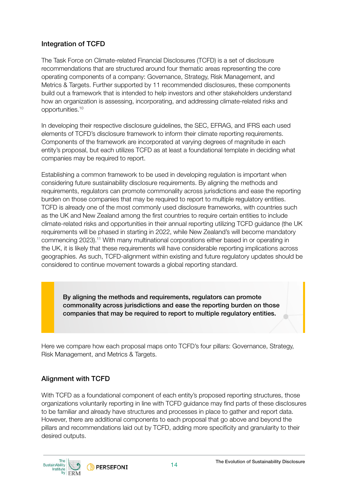### Integration of TCFD

The Task Force on Climate-related Financial Disclosures (TCFD) is a set of disclosure recommendations that are structured around four thematic areas representing the core operating components of a company: Governance, Strategy, Risk Management, and Metrics & Targets. Further supported by 11 recommended disclosures, these components build out a framework that is intended to help investors and other stakeholders understand how an organization is assessing, incorporating, and addressing climate-related risks and [opportunities.10](https://opportunities.10) 

In developing their respective disclosure guidelines, the SEC, EFRAG, and IFRS each used elements of TCFD's disclosure framework to inform their climate reporting requirements. Components of the framework are incorporated at varying degrees of magnitude in each entity's proposal, but each utilizes TCFD as at least a foundational template in deciding what companies may be required to report.

Establishing a common framework to be used in developing regulation is important when considering future sustainability disclosure requirements. By aligning the methods and requirements, regulators can promote commonality across jurisdictions and ease the reporting burden on those companies that may be required to report to multiple regulatory entities. TCFD is already one of the most commonly used disclosure frameworks, with countries such as the UK and New Zealand among the first countries to require certain entities to include climate-related risks and opportunities in their annual reporting utilizing TCFD guidance (the UK requirements will be phased in starting in 2022, while New Zealand's will become mandatory commencing [2023\).11](https://2023).11) With many multinational corporations either based in or operating in the UK, it is likely that these requirements will have considerable reporting implications across geographies. As such, TCFD-alignment within existing and future regulatory updates should be considered to continue movement towards a global reporting standard.

By aligning the methods and requirements, regulators can promote commonality across jurisdictions and ease the reporting burden on those companies that may be required to report to multiple regulatory entities.

Here we compare how each proposal maps onto TCFD's four pillars: Governance, Strategy, Risk Management, and Metrics & Targets.

#### Alignment with TCFD

With TCFD as a foundational component of each entity's proposed reporting structures, those organizations voluntarily reporting in line with TCFD guidance may find parts of these disclosures to be familiar and already have structures and processes in place to gather and report data. However, there are additional components to each proposal that go above and beyond the pillars and recommendations laid out by TCFD, adding more specicity and granularity to their desired outputs.



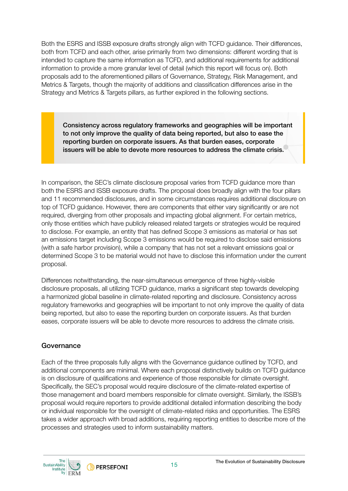Both the ESRS and ISSB exposure drafts strongly align with TCFD guidance. Their differences, both from TCFD and each other, arise primarily from two dimensions: different wording that is intended to capture the same information as TCFD, and additional requirements for additional information to provide a more granular level of detail (which this report will focus on). Both proposals add to the aforementioned pillars of Governance, Strategy, Risk Management, and Metrics & Targets, though the majority of additions and classification differences arise in the Strategy and Metrics & Targets pillars, as further explored in the following sections.

Consistency across regulatory frameworks and geographies will be important to not only improve the quality of data being reported, but also to ease the reporting burden on corporate issuers. As that burden eases, corporate issuers will be able to devote more resources to address the climate crisis.

In comparison, the SEC's climate disclosure proposal varies from TCFD guidance more than both the ESRS and ISSB exposure drafts. The proposal does broadly align with the four pillars and 11 recommended disclosures, and in some circumstances requires additional disclosure on top of TCFD guidance. However, there are components that either vary significantly or are not required, diverging from other proposals and impacting global alignment. For certain metrics, only those entities which have publicly released related targets or strategies would be required to disclose. For example, an entity that has defined Scope 3 emissions as material or has set an emissions target including Scope 3 emissions would be required to disclose said emissions (with a safe harbor provision), while a company that has not set a relevant emissions goal or determined Scope 3 to be material would not have to disclose this information under the current proposal.

Differences notwithstanding, the near-simultaneous emergence of three highly-visible disclosure proposals, all utilizing TCFD guidance, marks a significant step towards developing a harmonized global baseline in climate-related reporting and disclosure. Consistency across regulatory frameworks and geographies will be important to not only improve the quality of data being reported, but also to ease the reporting burden on corporate issuers. As that burden eases, corporate issuers will be able to devote more resources to address the climate crisis.

#### Governance

Each of the three proposals fully aligns with the Governance guidance outlined by TCFD, and additional components are minimal. Where each proposal distinctively builds on TCFD guidance is on disclosure of qualifications and experience of those responsible for climate oversight. Specifically, the SEC's proposal would require disclosure of the climate-related expertise of those management and board members responsible for climate oversight. Similarly, the ISSB's proposal would require reporters to provide additional detailed information describing the body or individual responsible for the oversight of climate-related risks and opportunities. The ESRS takes a wider approach with broad additions, requiring reporting entities to describe more of the processes and strategies used to inform sustainability matters.

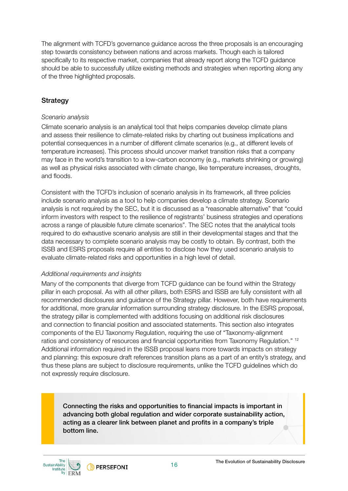The alignment with TCFD's governance guidance across the three proposals is an encouraging step towards consistency between nations and across markets. Though each is tailored specifically to its respective market, companies that already report along the TCFD guidance should be able to successfully utilize existing methods and strategies when reporting along any of the three highlighted proposals.

#### **Strategy**

#### *Scenario analysis*

Climate scenario analysis is an analytical tool that helps companies develop climate plans and assess their resilience to climate-related risks by charting out business implications and potential consequences in a number of different climate scenarios (e.g., at different levels of temperature increases). This process should uncover market transition risks that a company may face in the world's transition to a low-carbon economy (e.g., markets shrinking or growing) as well as physical risks associated with climate change, like temperature increases, droughts, and floods.

Consistent with the TCFD's inclusion of scenario analysis in its framework, all three policies include scenario analysis as a tool to help companies develop a climate strategy. Scenario analysis is not required by the SEC, but it is discussed as a "reasonable alternative" that "could inform investors with respect to the resilience of registrants' business strategies and operations across a range of plausible future climate scenarios". The SEC notes that the analytical tools required to do exhaustive scenario analysis are still in their developmental stages and that the data necessary to complete scenario analysis may be costly to obtain. By contrast, both the ISSB and ESRS proposals require all entities to disclose how they used scenario analysis to evaluate climate-related risks and opportunities in a high level of detail.

#### *Additional requirements and insights*

Many of the components that diverge from TCFD guidance can be found within the Strategy pillar in each proposal. As with all other pillars, both ESRS and ISSB are fully consistent with all recommended disclosures and guidance of the Strategy pillar. However, both have requirements for additional, more granular information surrounding strategy disclosure. In the ESRS proposal, the strategy pillar is complemented with additions focusing on additional risk disclosures and connection to financial position and associated statements. This section also integrates components of the EU Taxonomy Regulation, requiring the use of "Taxonomy-alignment ratios and consistency of resources and financial opportunities from Taxonomy Regulation." 12 Additional information required in the ISSB proposal leans more towards impacts on strategy and planning: this exposure draft references transition plans as a part of an entity's strategy, and thus these plans are subject to disclosure requirements, unlike the TCFD guidelines which do not expressly require disclosure.

Connecting the risks and opportunities to financial impacts is important in advancing both global regulation and wider corporate sustainability action, acting as a clearer link between planet and profits in a company's triple bottom line.

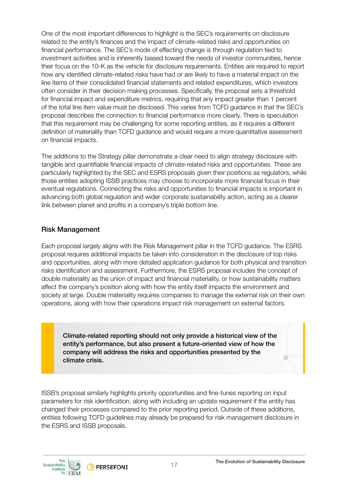One of the most important differences to highlight is the SEC's requirements on disclosure related to the entity's finances and the impact of climate-related risks and opportunities on financial performance. The SEC's mode of effecting change is through regulation tied to investment activities and is inherently biased toward the needs of investor communities, hence their focus on the 10-K as the vehicle for disclosure requirements. Entities are required to report how any identified climate-related risks have had or are likely to have a material impact on the line items of their consolidated financial statements and related expenditures, which investors often consider in their decision making processes. Specifically, the proposal sets a threshold for financial impact and expenditure metrics, requiring that any impact greater than 1 percent of the total line item value must be disclosed. This varies from TCFD guidance in that the SEC's proposal describes the connection to financial performance more clearly. There is speculation that this requirement may be challenging for some reporting entities, as it requires a different definition of materiality than TCFD guidance and would require a more quantitative assessment on financial impacts.

The additions to the Strategy pillar demonstrate a clear need to align strategy disclosure with tangible and quantifiable financial impacts of climate-related risks and opportunities. These are particularly highlighted by the SEC and ESRS proposals given their positions as regulators, while those entities adopting ISSB practices may choose to incorporate more financial focus in their eventual regulations. Connecting the risks and opportunities to financial impacts is important in advancing both global regulation and wider corporate sustainability action, acting as a clearer link between planet and profits in a company's triple bottom line.

#### Risk Management

Each proposal largely aligns with the Risk Management pillar in the TCFD guidance. The ESRS proposal requires additional impacts be taken into consideration in the disclosure of top risks and opportunities, along with more detailed application guidance for both physical and transition risks identification and assessment. Furthermore, the ESRS proposal includes the concept of double materiality as the union of impact and financial materiality, or how sustainability matters affect the company's position along with how the entity itself impacts the environment and society at large. Double materiality requires companies to manage the external risk on their own operations, along with how their operations impact risk management on external factors.

Climate-related reporting should not only provide a historical view of the entity's performance, but also present a future-oriented view of how the company will address the risks and opportunities presented by the climate crisis.

ISSB's proposal similarly highlights priority opportunities and fine-tunes reporting on input parameters for risk identification, along with including an update requirement if the entity has changed their processes compared to the prior reporting period. Outside of these additions, entities following TCFD guidelines may already be prepared for risk management disclosure in the ESRS and ISSB proposals.

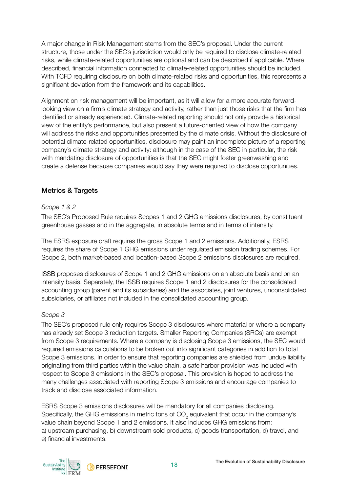A major change in Risk Management stems from the SEC's proposal. Under the current structure, those under the SEC's jurisdiction would only be required to disclose climate-related risks, while climate-related opportunities are optional and can be described if applicable. Where described, financial information connected to climate-related opportunities should be included. With TCFD requiring disclosure on both climate-related risks and opportunities, this represents a significant deviation from the framework and its capabilities.

Alignment on risk management will be important, as it will allow for a more accurate forwardlooking view on a firm's climate strategy and activity, rather than just those risks that the firm has identified or already experienced. Climate-related reporting should not only provide a historical view of the entity's performance, but also present a future-oriented view of how the company will address the risks and opportunities presented by the climate crisis. Without the disclosure of potential climate-related opportunities, disclosure may paint an incomplete picture of a reporting company's climate strategy and activity: although in the case of the SEC in particular, the risk with mandating disclosure of opportunities is that the SEC might foster greenwashing and create a defense because companies would say they were required to disclose opportunities.

### Metrics & Targets

#### *Scope 1 & 2*

The SEC's Proposed Rule requires Scopes 1 and 2 GHG emissions disclosures, by constituent greenhouse gasses and in the aggregate, in absolute terms and in terms of intensity.

The ESRS exposure draft requires the gross Scope 1 and 2 emissions. Additionally, ESRS requires the share of Scope 1 GHG emissions under regulated emission trading schemes. For Scope 2, both market-based and location-based Scope 2 emissions disclosures are required.

ISSB proposes disclosures of Scope 1 and 2 GHG emissions on an absolute basis and on an intensity basis. Separately, the ISSB requires Scope 1 and 2 disclosures for the consolidated accounting group (parent and its subsidiaries) and the associates, joint ventures, unconsolidated subsidiaries, or affiliates not included in the consolidated accounting group.

#### *Scope 3*

The SEC's proposed rule only requires Scope 3 disclosures where material or where a company has already set Scope 3 reduction targets. Smaller Reporting Companies (SRCs) are exempt from Scope 3 requirements. Where a company is disclosing Scope 3 emissions, the SEC would required emissions calculations to be broken out into significant categories in addition to total Scope 3 emissions. In order to ensure that reporting companies are shielded from undue liability originating from third parties within the value chain, a safe harbor provision was included with respect to Scope 3 emissions in the SEC's proposal. This provision is hoped to address the many challenges associated with reporting Scope 3 emissions and encourage companies to track and disclose associated information.

ESRS Scope 3 emissions disclosures will be mandatory for all companies disclosing. Specifically, the GHG emissions in metric tons of  $\mathsf{CO}_2$  equivalent that occur in the company's value chain beyond Scope 1 and 2 emissions. It also includes GHG emissions from: a) upstream purchasing, b) downstream sold products, c) goods transportation, d) travel, and e) financial investments.

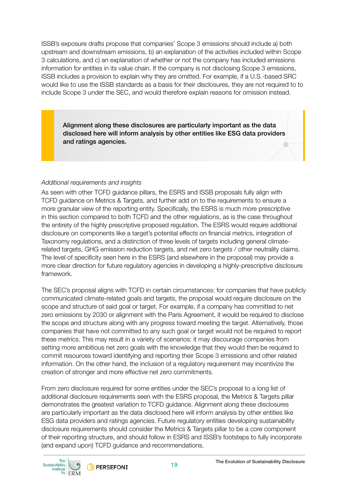ISSB's exposure drafts propose that companies' Scope 3 emissions should include a) both upstream and downstream emissions, b) an explanation of the activities included within Scope 3 calculations, and c) an explanation of whether or not the company has included emissions information for entities in its value chain. If the company is not disclosing Scope 3 emissions, ISSB includes a provision to explain why they are omitted. For example, if a U.S.-based SRC would like to use the ISSB standards as a basis for their disclosures, they are not required to to include Scope 3 under the SEC, and would therefore explain reasons for omission instead.

Alignment along these disclosures are particularly important as the data disclosed here will inform analysis by other entities like ESG data providers and ratings agencies.

#### *Additional requirements and insights*

As seen with other TCFD guidance pillars, the ESRS and ISSB proposals fully align with TCFD guidance on Metrics & Targets, and further add on to the requirements to ensure a more granular view of the reporting entity. Specifically, the ESRS is much more prescriptive in this section compared to both TCFD and the other regulations, as is the case throughout the entirety of the highly prescriptive proposed regulation. The ESRS would require additional disclosure on components like a target's potential effects on financial metrics, integration of Taxonomy regulations, and a distinction of three levels of targets including general climaterelated targets, GHG emission reduction targets, and net zero targets / other neutrality claims. The level of specificity seen here in the ESRS (and elsewhere in the proposal) may provide a more clear direction for future regulatory agencies in developing a highly-prescriptive disclosure framework.

The SEC's proposal aligns with TCFD in certain circumstances: for companies that have publicly communicated climate-related goals and targets, the proposal would require disclosure on the scope and structure of said goal or target. For example, if a company has committed to net zero emissions by 2030 or alignment with the Paris Agreement, it would be required to disclose the scope and structure along with any progress toward meeting the target. Alternatively, those companies that have not committed to any such goal or target would not be required to report these metrics. This may result in a variety of scenarios: it may discourage companies from setting more ambitious net zero goals with the knowledge that they would then be required to commit resources toward identifying and reporting their Scope 3 emissions and other related information. On the other hand, the inclusion of a regulatory requirement may incentivize the creation of stronger and more effective net zero commitments.

From zero disclosure required for some entities under the SEC's proposal to a long list of additional disclosure requirements seen with the ESRS proposal, the Metrics & Targets pillar demonstrates the greatest variation to TCFD guidance. Alignment along these disclosures are particularly important as the data disclosed here will inform analysis by other entities like ESG data providers and ratings agencies. Future regulatory entities developing sustainability disclosure requirements should consider the Metrics & Targets pillar to be a core component of their reporting structure, and should follow in ESRS and ISSB's footsteps to fully incorporate (and expand upon) TCFD guidance and recommendations.

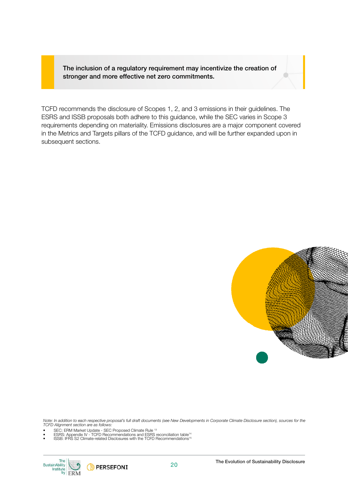The inclusion of a regulatory requirement may incentivize the creation of stronger and more effective net zero commitments.

TCFD recommends the disclosure of Scopes 1, 2, and 3 emissions in their guidelines. The ESRS and ISSB proposals both adhere to this guidance, while the SEC varies in Scope 3 requirements depending on materiality. Emissions disclosures are a major component covered in the Metrics and Targets pillars of the TCFD guidance, and will be further expanded upon in subsequent sections.



*Note: In addition to each respective proposal's full draft documents (see New Developments in Corporate Climate Disclosure section), sources for the TCFD Alignment section are as follows:* 

- 
- SEC: ERM Market Update SEC Proposed Climate Rule 13 ESRS: Appendix IV TCFD Recommendations and ESRS reconciliation table14 ISSB: IFRS S2 Climate-related Disclosures with the TCFD Recommendations15
- 

**PERSEFONI** 

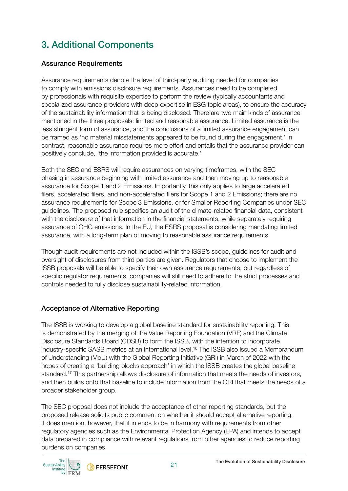### 3. Additional Components

#### Assurance Requirements

Assurance requirements denote the level of third-party auditing needed for companies to comply with emissions disclosure requirements. Assurances need to be completed by professionals with requisite expertise to perform the review (typically accountants and specialized assurance providers with deep expertise in ESG topic areas), to ensure the accuracy of the sustainability information that is being disclosed. There are two main kinds of assurance mentioned in the three proposals: limited and reasonable assurance. Limited assurance is the less stringent form of assurance, and the conclusions of a limited assurance engagement can be framed as 'no material misstatements appeared to be found during the engagement.' In contrast, reasonable assurance requires more effort and entails that the assurance provider can positively conclude, 'the information provided is accurate.'

Both the SEC and ESRS will require assurances on varying timeframes, with the SEC phasing in assurance beginning with limited assurance and then moving up to reasonable assurance for Scope 1 and 2 Emissions. Importantly, this only applies to large accelerated filers, accelerated filers, and non-accelerated filers for Scope 1 and 2 Emissions; there are no assurance requirements for Scope 3 Emissions, or for Smaller Reporting Companies under SEC guidelines. The proposed rule specifies an audit of the climate-related financial data, consistent with the disclosure of that information in the financial statements, while separately requiring assurance of GHG emissions. In the EU, the ESRS proposal is considering mandating limited assurance, with a long-term plan of moving to reasonable assurance requirements.

Though audit requirements are not included within the ISSB's scope, guidelines for audit and oversight of disclosures from third parties are given. Regulators that choose to implement the ISSB proposals will be able to specify their own assurance requirements, but regardless of specific regulator requirements, companies will still need to adhere to the strict processes and controls needed to fully disclose sustainability-related information.

#### Acceptance of Alternative Reporting

The ISSB is working to develop a global baseline standard for sustainability reporting. This is demonstrated by the merging of the Value Reporting Foundation (VRF) and the Climate Disclosure Standards Board (CDSB) to form the ISSB, with the intention to incorporate industry-specific SASB metrics at an international level.<sup>16</sup> The ISSB also issued a Memorandum of Understanding (MoU) with the Global Reporting Initiative (GRI) in March of 2022 with the hopes of creating a 'building blocks approach' in which the ISSB creates the global baseline [standard.17](https://standard.17) This partnership allows disclosure of information that meets the needs of investors, and then builds onto that baseline to include information from the GRI that meets the needs of a broader stakeholder group.

The SEC proposal does not include the acceptance of other reporting standards, but the proposed release solicits public comment on whether it should accept alternative reporting. It does mention, however, that it intends to be in harmony with requirements from other regulatory agencies such as the Environmental Protection Agency (EPA) and intends to accept data prepared in compliance with relevant regulations from other agencies to reduce reporting burdens on companies.

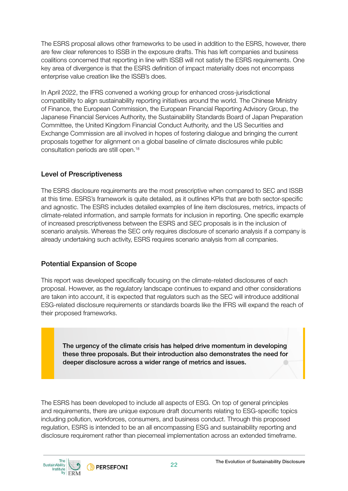The ESRS proposal allows other frameworks to be used in addition to the ESRS, however, there are few clear references to ISSB in the exposure drafts. This has left companies and business coalitions concerned that reporting in line with ISSB will not satisfy the ESRS requirements. One key area of divergence is that the ESRS definition of impact materiality does not encompass enterprise value creation like the ISSB's does.

In April 2022, the IFRS convened a working group for enhanced cross-jurisdictional compatibility to align sustainability reporting initiatives around the world. The Chinese Ministry of Finance, the European Commission, the European Financial Reporting Advisory Group, the Japanese Financial Services Authority, the Sustainability Standards Board of Japan Preparation Committee, the United Kingdom Financial Conduct Authority, and the US Securities and Exchange Commission are all involved in hopes of fostering dialogue and bringing the current proposals together for alignment on a global baseline of climate disclosures while public consultation periods are still open.18

#### Level of Prescriptiveness

The ESRS disclosure requirements are the most prescriptive when compared to SEC and ISSB at this time. ESRS's framework is quite detailed, as it outlines KPIs that are both sector-specific and agnostic. The ESRS includes detailed examples of line item disclosures, metrics, impacts of climate-related information, and sample formats for inclusion in reporting. One specific example of increased prescriptiveness between the ESRS and SEC proposals is in the inclusion of scenario analysis. Whereas the SEC only requires disclosure of scenario analysis if a company is already undertaking such activity, ESRS requires scenario analysis from all companies.

#### Potential Expansion of Scope

This report was developed specifically focusing on the climate-related disclosures of each proposal. However, as the regulatory landscape continues to expand and other considerations are taken into account, it is expected that regulators such as the SEC will introduce additional ESG-related disclosure requirements or standards boards like the IFRS will expand the reach of their proposed frameworks.

The urgency of the climate crisis has helped drive momentum in developing these three proposals. But their introduction also demonstrates the need for deeper disclosure across a wider range of metrics and issues.

The ESRS has been developed to include all aspects of ESG. On top of general principles and requirements, there are unique exposure draft documents relating to ESG-specific topics including pollution, workforces, consumers, and business conduct. Through this proposed regulation, ESRS is intended to be an all encompassing ESG and sustainability reporting and disclosure requirement rather than piecemeal implementation across an extended timeframe.

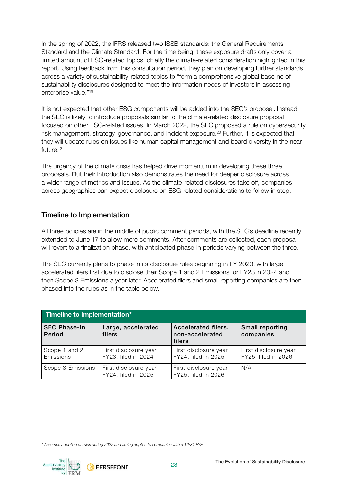In the spring of 2022, the IFRS released two ISSB standards: the General Requirements Standard and the Climate Standard. For the time being, these exposure drafts only cover a limited amount of ESG-related topics, chiefly the climate-related consideration highlighted in this report. Using feedback from this consultation period, they plan on developing further standards across a variety of sustainability-related topics to "form a comprehensive global baseline of sustainability disclosures designed to meet the information needs of investors in assessing enterprise value."19

It is not expected that other ESG components will be added into the SEC's proposal. Instead, the SEC is likely to introduce proposals similar to the climate-related disclosure proposal focused on other ESG-related issues. In March 2022, the SEC proposed a rule on cybersecurity risk management, strategy, governance, and incident exposure.<sup>20</sup> Further, it is expected that they will update rules on issues like human capital management and board diversity in the near future. 21

The urgency of the climate crisis has helped drive momentum in developing these three proposals. But their introduction also demonstrates the need for deeper disclosure across a wider range of metrics and issues. As the climate-related disclosures take off, companies across geographies can expect disclosure on ESG-related considerations to follow in step.

#### Timeline to Implementation

All three policies are in the middle of public comment periods, with the SEC's deadline recently extended to June 17 to allow more comments. After comments are collected, each proposal will revert to a finalization phase, with anticipated phase-in periods varying between the three.

The SEC currently plans to phase in its disclosure rules beginning in FY 2023, with large accelerated filers first due to disclose their Scope 1 and 2 Emissions for FY23 in 2024 and then Scope 3 Emissions a year later. Accelerated filers and small reporting companies are then phased into the rules as in the table below.

| Timeline to implementation*   |                                              |                                                  |                                              |
|-------------------------------|----------------------------------------------|--------------------------------------------------|----------------------------------------------|
| <b>SEC Phase-In</b><br>Period | Large, accelerated<br>filers                 | Accelerated filers,<br>non-accelerated<br>filers | Small reporting<br>companies                 |
| Scope 1 and 2<br>Emissions    | First disclosure year<br>FY23, filed in 2024 | First disclosure year<br>FY24, filed in 2025     | First disclosure year<br>FY25, filed in 2026 |
| Scope 3 Emissions             | First disclosure year<br>FY24, filed in 2025 | First disclosure year<br>FY25, filed in 2026     | N/A                                          |

*\* Assumes adoption of rules during 2022 and timing applies to companies with a 12/31 FYE.*

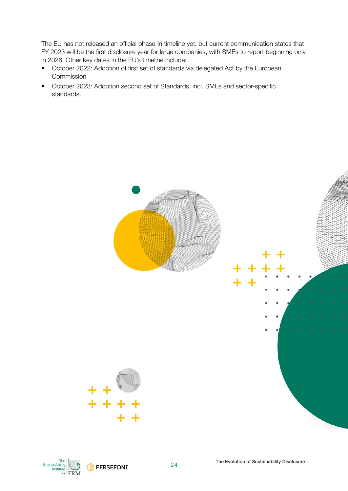The EU has not released an official phase-in timeline yet, but current communication states that FY 2023 will be the first disclosure year for large companies, with SMEs to report beginning only in 2026. Other key dates in the EU's timeline include:

- October 2022: Adoption of first set of standards via delegated Act by the European **Commission**
- October 2023: Adoption second set of Standards, incl. SMEs and sector-specific standards.



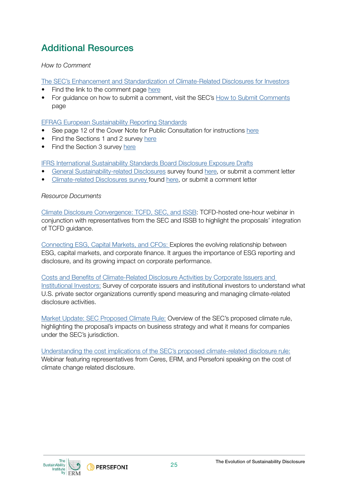### Additional Resources

#### *How to Comment*

T[he SEC's Enhancement and Standardization of Climate-Related Disclosures for Investors](https://www.sec.gov/news/press-release/2022-46)

- Find the link to the comment page [here](https://www.sec.gov/regulatory-actions/how-to-submit-comments)
- For quidance on how to submit a comment, visit the SEC's [How to Submit Comments](https://www.sec.gov/regulatory-actions/how-to-submit-comments) page

#### [EFRAG European Sustainability Reporting Standards](https://www.efrag.org/Activities/2105191406363055/Sustainability-reporting-standards-interim-draft?AspxAutoDetectCookieSupport=1)

- See page 12 of the Cover Note for Public Consultation for instructions here
- Find the Sections 1 and 2 survey [here](https://ec.europa.eu/eusurvey/runner/5948e319-2d2b-233b-7be5-980274eb1131)
- Find the Section 3 survey [here](https://ec.europa.eu/eusurvey/runner/5948e319-2d2b-233b-7be5-980274eb1131)

[IFRS International Sustainability Standards Board Disclosure Exposure Drafts](https://www.ifrs.org/groups/international-sustainability-standards-board/) 

- [General Sustainability-related Disclosures](https://www.ifrs.org/projects/work-plan/general-sustainability-related-disclosures/exposure-draft-and-comment-letters/) survey found [here,](https://ifrs.qualtrics.com/jfe/form/SV_7UGHv6thNXMzGho) or submit a comment letter
- [Climate-related Disclosures survey f](https://www.ifrs.org/projects/work-plan/climate-related-disclosures/exposure-draft-and-comment-letters/)ound [here](https://ifrs.qualtrics.com/jfe/form/SV_7UGHv6thNXMzGho), or submit a comment letter

#### *Resource Documents*

[Climate Disclosure Convergence: TCFD, SEC, and ISSB](https://www.fsb-tcfd.org/videos/?elqTrackId=e3ca1f4c25844c36a1e146c6a4511157&elq=ffd8dc1f0fff45d39fe753ea50e70ca4&elqaid=42218&elqat=1&elqCampaignId=26520): TCFD-hosted one-hour webinar in conjunction with representatives from the SEC and ISSB to highlight the proposals' integration of TCFD guidance.

[Connecting ESG, Capital Markets, and CFOs](https://www.sustainability.com/thinking/connecting-esg-capital-markets-and-cfos/): Explores the evolving relationship between ESG, capital markets, and corporate finance. It argues the importance of ESG reporting and disclosure, and its growing impact on corporate performance.

Costs and Benefits of Climate-Related Disclosure Activities by Corporate Issuers and [Institutional Investors:](https://www.sustainability.com/thinking/costs-and-benefits-of-climate-related-disclosure-activities-by-corporate-issuers-and-institutional-investors/) Survey of corporate issuers and institutional investors to understand what U.S. private sector organizations currently spend measuring and managing climate-related disclosure activities.

[Market Update: SEC Proposed Climate Rule:](https://www.sustainability.com/globalassets/documents/mailings/2022/erm-sec-market-update-mar2022.pdf) Overview of the SEC's proposed climate rule, highlighting the proposal's impacts on business strategy and what it means for companies under the SEC's jurisdiction.

[Understanding the cost implications of the SEC's proposed climate-related disclosure rule:](https://insights.persefoni.com/SEC-Disclosure-Webinar-0511-Registration.html?utm_source=persefoni-website&utm_campaign=cost-of-climate-disclosure&utm_medium=webpage) Webinar featuring representatives from Ceres, ERM, and Persefoni speaking on the cost of climate change related disclosure.

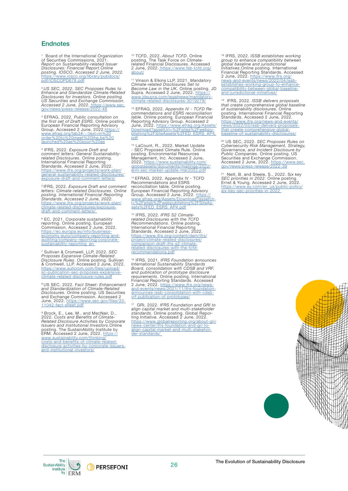#### **Endnotes**

<sup>1</sup> Board of the International Organization<br>of Securities Commissions, 2021.<br>*Report on Sustainability-related Issuer<br><i>Disclosures: Financial Report.Online*<br>*posting. IOSCO. Accessed 2 June, 2022.* Board of the International Organization [https://www.iosco.org/library/pubdocs/](https://www.iosco.org/library/pubdocs/pdf/IOSCOPD678.pdf)  pdf/IOSCOPD678.pdf

<sup>2</sup>*US SEC, 2022. SEC Proposes Rules to Enhance and Standardize Climate-Related Disclosures for Investors. Online posting.*  US Securities and Exchange Commission.<br>Accessed 2 June, 2022. <u>[https://www.sec.](https://www.sec.gov/news/press-release/2022-46)</u><br>[gov/news/press-release/2022-46](https://www.sec.gov/news/press-release/2022-46)

<sup>s</sup> EFRAG, 2022*. Public consultation on<br><i>the first set of Draft ESRS.* Online posting.<br>European Financial Reporting Advisory<br>Group. Accessed 2 June, 2022.<u>[https://](https://www.efrag.org/lab3#:~:text=In%20order%20to%20meet%20the,be%20launched%20as%20soon%20as)</u> [www.efrag.org/lab3#:~:text=In%20](https://www.efrag.org/lab3#:~:text=In%20order%20to%20meet%20the,be%20launched%20as%20soon%20as) [order%20to%20meet%20the,be%20](https://www.efrag.org/lab3#:~:text=In%20order%20to%20meet%20the,be%20launched%20as%20soon%20as) [launched%20as%20soon%20as](https://www.efrag.org/lab3#:~:text=In%20order%20to%20meet%20the,be%20launched%20as%20soon%20as)

4 IFRS, 2022. *Exposure Draft and comment letters: General Sustainability-related Disclosures*. Online posting. International Financial Reporting Standards. Accessed 2 June, 2022. [https://www.ifrs.org/projects/work-plan/](https://www.ifrs.org/projects/work-plan/general-sustainability-related-disclosures/exposure-draft-and-comment-letters/) [general-sustainability-related-disclosures/](https://www.ifrs.org/projects/work-plan/general-sustainability-related-disclosures/exposure-draft-and-comment-letters/) [exposure-draft-and-comment-letters/](https://www.ifrs.org/projects/work-plan/general-sustainability-related-disclosures/exposure-draft-and-comment-letters/)

*<sup>5</sup>*IFRS, 2022. *Exposure Draft and comment letters: Climate-related Disclosures. Online posting. International Financial Reporting Standards. Accessed 2 June, 2022.*  [https://www.ifrs.org/projects/work-plan/](https://www.ifrs.org/projects/work-plan/climate-related-disclosures/exposure-draft-and-comment-letters/) [climate-related-disclosures/exposure-](https://www.ifrs.org/projects/work-plan/climate-related-disclosures/exposure-draft-and-comment-letters/) [draft-and-comment-letters/](https://www.ifrs.org/projects/work-plan/climate-related-disclosures/exposure-draft-and-comment-letters/) 

6 EC, 2021. *Corporate sustainability reporting*. Online posting. European Commission. Accessed 2 June, 2022. https://ec.europa.eu/info/business-[economy-euro/company-reporting-and](https://ec.europa.eu/info/business-economy-euro/company-reporting-and-auditing/company-reporting/corporate-sustainability-reporting_en)auditing/company-reporting/corporatesustainability-reporting en

7 Sullivan & Cromwell, LLP, 2022. *SEC Proposes Expansive Climate-Related<br><i>Disclosure Rules.* Online posting. Sullivan<br>& Cromwell, LLP. Accessed 2 June, 2022.<br>[https://www.sullcrom.com/files/upload/](https://www.sullcrom.com/files/upload/sc-publication-sec-proposes-expansive-climate-related-disclosure-rules.pdf) [sc-publication-sec-proposes-expansive](https://www.sullcrom.com/files/upload/sc-publication-sec-proposes-expansive-climate-related-disclosure-rules.pdf)[climate-related-disclosure-rules.pdf](https://www.sullcrom.com/files/upload/sc-publication-sec-proposes-expansive-climate-related-disclosure-rules.pdf)

8 US SEC, 2022. F*act Sheet: Enhancement and Standardization of Climate-Related Disclosures*. Online posting. US Securities and Exchange Commission. Accessed 2 [June, 2022. https://www.sec.gov/files/33-](https://www.sec.gov/files/33-11042-fact-sheet.pdf) 11042-fact-sheet.pdf

9 Brock, E., Lee, M., and MacNair, D., 2022. *Costs and Benefits of Climate-Related Disclosure Activities by Corporate Issuers and Institutional Investors*.Online posting. The SustainAbility Institute by<br>ERM. Accessed 2 June, 2022. <u>ht[tps://](https://www.sustainability.com/thinking/costs-and-benefits-of-climate-related-disclosure-activities-by-corporate-issuers-and-institutional-investors/)</u>

[www.sustainability.com/thinking/](https://www.sustainability.com/thinking/costs-and-benefits-of-climate-related-disclosure-activities-by-corporate-issuers-and-institutional-investors/)<br>[costs-and-benefits-of-climate-related-](https://www.sustainability.com/thinking/costs-and-benefits-of-climate-related-disclosure-activities-by-corporate-issuers-and-institutional-investors/)<br>[disclosure-activities-by-corporate-issuers-](https://www.sustainability.com/thinking/costs-and-benefits-of-climate-related-disclosure-activities-by-corporate-issuers-and-institutional-investors/)<br>and-institutional-investors/

10 TCFD, 2022. *About TCFD*. Online posting. The Task Force on Climate-related Financial Disclosures. Accessed [2 June, 2022. https://www.fsb-tcfd.org/](https://www.fsb-tcfd.org/about/) about/

11 Vinson & Elkins LLP, 2021. *Mandatory Climate-related Disclosures Set to Become Law in the UK*. Online posting. JD Supra. Accessed 2 June, 2022. https:// [www.jdsupra.com/legalnews/mandatory-](https://www.jdsupra.com/legalnews/mandatory-climate-related-disclosures-3019279/)<br>climate-related-disclosures-3019279/

12 EFRAG, 2022. *Appendix IV - TCFD Re- commendations and ESRS reconciliation table*. Online posting. European Financial Reporting Advisory Group. Accessed 2 June, 2022. [https://www.efrag.org/Assets/](https://www.efrag.org/Assets/Download?assetUrl=%2Fsites%2Fwebpublishing%2FSiteAssets%2FED_ESRS_AP4.pdf) [Download?assetUrl=%2Fsites%2Fwebpu-](https://www.efrag.org/Assets/Download?assetUrl=%2Fsites%2Fwebpublishing%2FSiteAssets%2FED_ESRS_AP4.pdf) [blishing%2FSiteAssets%2FED\\_ESRS\\_AP4.](https://www.efrag.org/Assets/Download?assetUrl=%2Fsites%2Fwebpublishing%2FSiteAssets%2FED_ESRS_AP4.pdf) [pdf](https://www.efrag.org/Assets/Download?assetUrl=%2Fsites%2Fwebpublishing%2FSiteAssets%2FED_ESRS_AP4.pdf) 

<sup>13</sup> LaCount, R., 2022. Market Update<br>- SEC Proposed Climate Rule. Online posting. Environmental Resources<br>Management, Inc. Accessed 2 June,<br>2022. <u>https://www.sustainability.com/</u> [globalassets/documents/mailings/2022/](https://www.jdsupra.com/legalnews/mandatory-climate-related-disclosures-3019279/)  erm-sec-market-update-mar2022.pdf

14 EFRAG, 2022. Appendix IV - TCFD Recommendations and ESRS reconciliation table. Online posting. European Financial Reporting Advisory<br>Group. Accessed 2 June, 2022. https://<br>[www.efrag.org/Assets/Download?assetUr-](https://www.efrag.org/Assets/Download?assetUrl=%2Fsites%2Fwebpublishing%2FSiteAssets%2FED_ESRS_AP4.pdf)<br>[l=%2Fsites%2Fwebpublishing%2FSiteAs-](https://www.efrag.org/Assets/Download?assetUrl=%2Fsites%2Fwebpublishing%2FSiteAssets%2FED_ESRS_AP4.pdf)<br>[sets%2FED\\_ESRS\\_AP4.pdf](https://www.efrag.org/Assets/Download?assetUrl=%2Fsites%2Fwebpublishing%2FSiteAssets%2FED_ESRS_AP4.pdf)

<sup>15</sup> IFRS, 2022. *IFRS S2 Climate-<br>related Disclosures with the TCFD<br><i>Recommendations*. Online posting.<br>International Financial Reporting<br>Standards. Accessed 2 June, 2022.<br>[https://www.ifrs.org/content/dam/ifrs/](https://www.ifrs.org/content/dam/ifrs/project/climate-related-disclosures/comparison-draft-ifrs-s2-climate-related-disclosures-with-the-tcfd-recommendations.pdf) [project/climate-related-disclosures/](https://www.ifrs.org/content/dam/ifrs/project/climate-related-disclosures/comparison-draft-ifrs-s2-climate-related-disclosures-with-the-tcfd-recommendations.pdf) [comparison-draft-ifrs-s2-climate](https://www.ifrs.org/content/dam/ifrs/project/climate-related-disclosures/comparison-draft-ifrs-s2-climate-related-disclosures-with-the-tcfd-recommendations.pdf)[related-disclosures-with-the-tcfd-](https://www.ifrs.org/content/dam/ifrs/project/climate-related-disclosures/comparison-draft-ifrs-s2-climate-related-disclosures-with-the-tcfd-recommendations.pdf)[recommendations.pdf](https://www.ifrs.org/content/dam/ifrs/project/climate-related-disclosures/comparison-draft-ifrs-s2-climate-related-disclosures-with-the-tcfd-recommendations.pdf)

16 IFRS, 2021. *IFRS Foundation announces*  International Sustainability Standards<br>Board, consolidation with CDSB and VRF,<br>and publication of prototype disclosure<br>requirements. Online posting. International<br>Financial Reporting Standards. Accessed<br>2 June, 2022. <u>http</u> [and-events/news/2021/11/ifrs-foundation-](https://www.ifrs.org/news-and-events/news/2021/11/ifrs-foundation-announces-issb-consolidation-with-cdsb-vrf-publication-of-prototypes/)announces-issb-consolidation-with-cdsbvrf-publication-of-prototypes/

17 GRI, 2022. *IFRS Foundation and GRI to*  align capital market and multi-stakeholder *standards*. Online posting. Global Repor-ting Initiative. Accessed 2 June, 2022. [https://www.globalreporting.org/about-gri/](https://www.globalreporting.org/about-gri/news-center/ifrs-foundation-and-gri-to-align-capital-market-and-multi-stakeholder-standards/)<br>https://www.globalreporting.org/about-gri/ [align-capital-market-and-multi-stakehol-](https://www.globalreporting.org/about-gri/news-center/ifrs-foundation-and-gri-to-align-capital-market-and-multi-stakeholder-standards/)<br>der-standards/

18 IFRS, 2022. *ISSB establishes working group to enhance compatibility between global baseline and jurisdictional initiatives*.Online posting. International Financial Reporting Standards. Accessed 2 June, 2022. [https://www.ifrs.org/](https://www.ifrs.org/news-and-events/news/2022/04/issb-establishes-working-group-to-enhance-compatibility-between-global-baseline-and-jurisdictional-initiatives/) news-and-events-[compatibility-between-global-baseline-](https://www.ifrs.org/news-and-events/news/2022/04/issb-establishes-working-group-to-enhance-compatibility-between-global-baseline-and-jurisdictional-initiatives/)<br>compatibility-between-global-baseline-<br>[and-jurisdictional-initiatives/](https://www.ifrs.org/news-and-events/news/2022/04/issb-establishes-working-group-to-enhance-compatibility-between-global-baseline-and-jurisdictional-initiatives/)

19 IFRS, 2022. *ISSB delivers proposals that create comprehensive global baseline of sustainability disclosure*s. Online posting. International Financial Reporting Standards. Accessed 2 June, 2022. [https://www.ifrs.org/news-and-events/](https://www.ifrs.org/news-and-events/news/2022/03/issb-delivers-proposals-that-create-comprehensive-global-baseline-of-sustainability-disclosures/)<br>news/2022/03/issb-delivers-proposals[that-create-comprehensive-global-](https://www.ifrs.org/news-and-events/news/2022/03/issb-delivers-proposals-that-create-comprehensive-global-baseline-of-sustainability-disclosures/)<br>baseline-of-sustainability-disclosures/

<sup>20</sup> US SEC, 2022. *SEC Proposes Rules on Cybersecurity Risk Management, Strategy, Cybernance, and Incident Disclosure by Public Companies. Online posting. US<br><i>Public Companies.* Online posting. US<br>*Public Companies.* Onli [gov/news/press-release/2022-39](https://www.sec.gov/news/press-release/2022-39)

<sup>21</sup> Neill, B. and Steele, S., 2022. S*ix key<br>SEC priorities in 2022.* Online posting.<br>Ernst & Young. Accessed 2 June, 2022.<br>[https://www.ey.com/en\\_us/public-policy/](https://www.ey.com/en_us/public-policy/six-key-sec-priorities-in-2022) [six-key-sec-priorities-in-2022](https://www.ey.com/en_us/public-policy/six-key-sec-priorities-in-2022)